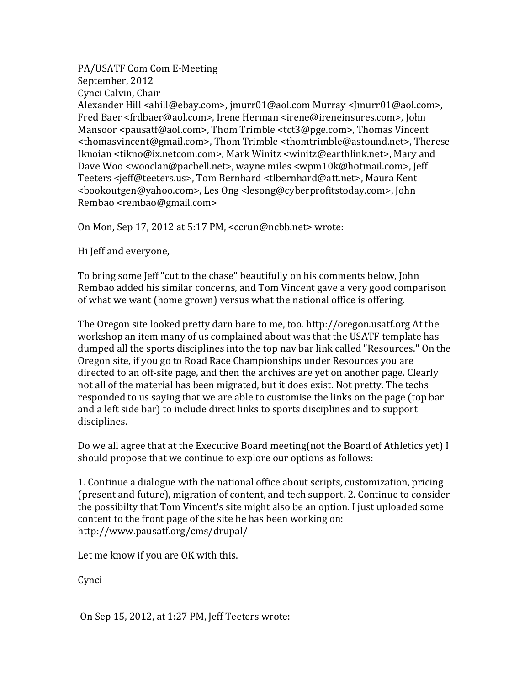PA/USATF Com Com E-Meeting September, 2012 Cynci Calvin, Chair Alexander Hill <ahill@ebay.com>, jmurr01@aol.com Murray <Jmurr01@aol.com>, Fred Baer <frdbaer@aol.com>, Irene Herman <irene@ireneinsures.com>, John Mansoor <pausatf@aol.com>. Thom Trimble <tct3@pge.com>. Thomas Vincent <thomasvincent@gmail.com>, Thom Trimble <thomtrimble@astound.net>, Therese Iknoian <tikno@ix.netcom.com>, Mark Winitz <winitz@earthlink.net>, Mary and Dave Woo <wooclan@pacbell.net>, wayne miles <wpm10k@hotmail.com>, Jeff Teeters <jeff@teeters.us>, Tom Bernhard <tlbernhard@att.net>, Maura Kent <bookoutgen@yahoo.com>, Les Ong <lesong@cyberprofitstoday.com>, John Rembao <rembao@gmail.com>

On Mon, Sep 17, 2012 at 5:17 PM, <ccrun@ncbb.net> wrote:

Hi Jeff and everyone.

To bring some Jeff "cut to the chase" beautifully on his comments below, John Rembao added his similar concerns, and Tom Vincent gave a very good comparison of what we want (home grown) versus what the national office is offering.

The Oregon site looked pretty darn bare to me, too. http://oregon.usatf.org At the workshop an item many of us complained about was that the USATF template has dumped all the sports disciplines into the top nav bar link called "Resources." On the Oregon site, if you go to Road Race Championships under Resources you are directed to an off-site page, and then the archives are yet on another page. Clearly not all of the material has been migrated, but it does exist. Not pretty. The techs responded to us saying that we are able to customise the links on the page (top bar) and a left side bar) to include direct links to sports disciplines and to support disciplines.

Do we all agree that at the Executive Board meeting(not the Board of Athletics yet) I should propose that we continue to explore our options as follows:

1. Continue a dialogue with the national office about scripts, customization, pricing (present and future), migration of content, and tech support. 2. Continue to consider the possibilty that Tom Vincent's site might also be an option. I just uploaded some content to the front page of the site he has been working on: http://www.pausatf.org/cms/drupal/

Let me know if you are OK with this.

**Cynci** 

On Sep  $15$ ,  $2012$ , at  $1:27$  PM, Jeff Teeters wrote: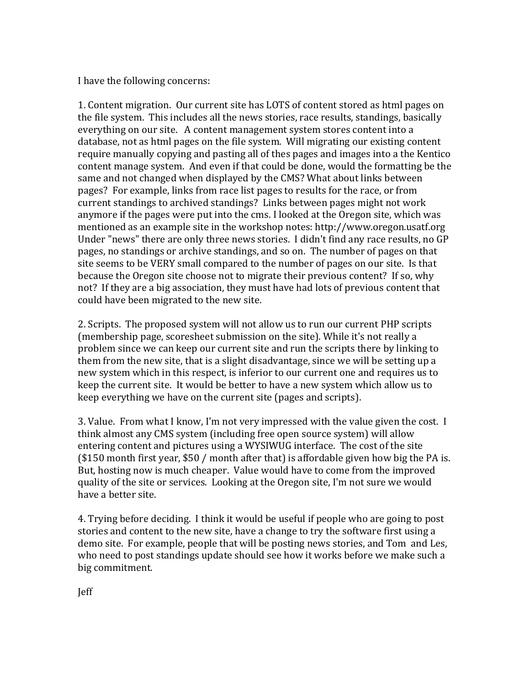I have the following concerns:

1. Content migration. Our current site has LOTS of content stored as html pages on the file system. This includes all the news stories, race results, standings, basically everything on our site. A content management system stores content into a database, not as html pages on the file system. Will migrating our existing content require manually copying and pasting all of thes pages and images into a the Kentico content manage system. And even if that could be done, would the formatting be the same and not changed when displayed by the CMS? What about links between pages? For example, links from race list pages to results for the race, or from current standings to archived standings? Links between pages might not work anymore if the pages were put into the cms. I looked at the Oregon site, which was mentioned as an example site in the workshop notes: http://www.oregon.usatf.org Under "news" there are only three news stories. I didn't find any race results, no GP pages, no standings or archive standings, and so on. The number of pages on that site seems to be VERY small compared to the number of pages on our site. Is that because the Oregon site choose not to migrate their previous content? If so, why not? If they are a big association, they must have had lots of previous content that could have been migrated to the new site.

2. Scripts. The proposed system will not allow us to run our current PHP scripts (membership page, scoresheet submission on the site). While it's not really a problem since we can keep our current site and run the scripts there by linking to them from the new site, that is a slight disadvantage, since we will be setting up a new system which in this respect, is inferior to our current one and requires us to keep the current site. It would be better to have a new system which allow us to keep everything we have on the current site (pages and scripts).

3. Value. From what I know, I'm not very impressed with the value given the cost. I think almost any CMS system (including free open source system) will allow entering content and pictures using a WYSIWUG interface. The cost of the site  $$150$  month first year, \$50 / month after that) is affordable given how big the PA is. But, hosting now is much cheaper. Value would have to come from the improved quality of the site or services. Looking at the Oregon site, I'm not sure we would have a better site.

4. Trying before deciding. I think it would be useful if people who are going to post stories and content to the new site, have a change to try the software first using a demo site. For example, people that will be posting news stories, and Tom and Les, who need to post standings update should see how it works before we make such a big commitment.

Jeff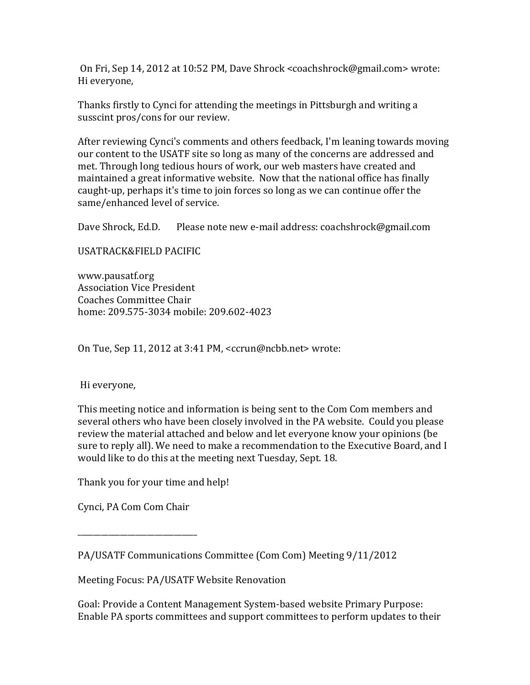On Fri, Sep 14, 2012 at 10:52 PM, Dave Shrock <coachshrock@gmail.com>wrote: Hi everyone,

Thanks firstly to Cynci for attending the meetings in Pittsburgh and writing a susscint pros/cons for our review.

After reviewing Cynci's comments and others feedback, I'm leaning towards moving our content to the USATF site so long as many of the concerns are addressed and met. Through long tedious hours of work, our web masters have created and maintained a great informative website. Now that the national office has finally caught-up, perhaps it's time to join forces so long as we can continue offer the same/enhanced level of service.

Dave Shrock, Ed.D. Please note new e-mail address: coachshrock@gmail.com

USATRACK&FIELD(PACIFIC

www.pausatf.org Association Vice President Coaches Committee Chair home: 209.575-3034 mobile: 209.602-4023

On Tue, Sep 11, 2012 at 3:41 PM,  $< c$ crun@ncbb.net $>$  wrote:

Hi everyone,

This meeting notice and information is being sent to the Com Com members and several others who have been closely involved in the PA website. Could you please review the material attached and below and let everyone know your opinions (be) sure to reply all). We need to make a recommendation to the Executive Board, and I would like to do this at the meeting next Tuesday, Sept. 18.

Thank you for your time and help!

Cynci, PA Com Com Chair

\_\_\_\_\_\_\_\_\_\_\_\_\_\_\_\_\_\_\_\_\_\_\_\_\_\_\_\_\_\_\_

Meeting Focus: PA/USATF Website Renovation

Goal: Provide a Content Management System-based website Primary Purpose: Enable PA sports committees and support committees to perform updates to their

PA/USATF Communications Committee (Com Com) Meeting 9/11/2012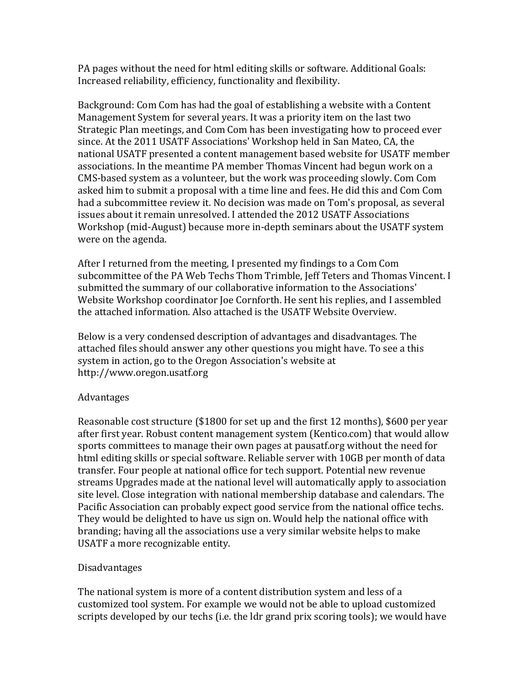PA pages without the need for html editing skills or software. Additional Goals: Increased reliability, efficiency, functionality and flexibility.

Background: Com Com has had the goal of establishing a website with a Content Management System for several years. It was a priority item on the last two Strategic Plan meetings, and Com Com has been investigating how to proceed ever since. At the 2011 USATF Associations' Workshop held in San Mateo, CA, the national USATF presented a content management based website for USATF member associations. In the meantime PA member Thomas Vincent had begun work on a CMS-based system as a volunteer, but the work was proceeding slowly. Com Com asked him to submit a proposal with a time line and fees. He did this and Com Com had a subcommittee review it. No decision was made on Tom's proposal, as several issues about it remain unresolved. I attended the 2012 USATF Associations Workshop (mid-August) because more in-depth seminars about the USATF system were on the agenda.

After I returned from the meeting, I presented my findings to a Com Com subcommittee of the PA Web Techs Thom Trimble, Jeff Teters and Thomas Vincent. I submitted the summary of our collaborative information to the Associations' Website Workshop coordinator Joe Cornforth. He sent his replies, and I assembled the attached information. Also attached is the USATF Website Overview.

Below is a very condensed description of advantages and disadvantages. The attached files should answer any other questions you might have. To see a this system in action, go to the Oregon Association's website at http://www.oregon.usatf.org

## Advantages

Reasonable cost structure (\$1800 for set up and the first 12 months), \$600 per year after first year. Robust content management system (Kentico.com) that would allow sports committees to manage their own pages at pausatf.org without the need for html editing skills or special software. Reliable server with 10GB per month of data transfer. Four people at national office for tech support. Potential new revenue streams Upgrades made at the national level will automatically apply to association site level. Close integration with national membership database and calendars. The Pacific Association can probably expect good service from the national office techs. They would be delighted to have us sign on. Would help the national office with branding; having all the associations use a very similar website helps to make USATF a more recognizable entity.

## Disadvantages

The national system is more of a content distribution system and less of a customized tool system. For example we would not be able to upload customized scripts developed by our techs (i.e. the ldr grand prix scoring tools); we would have